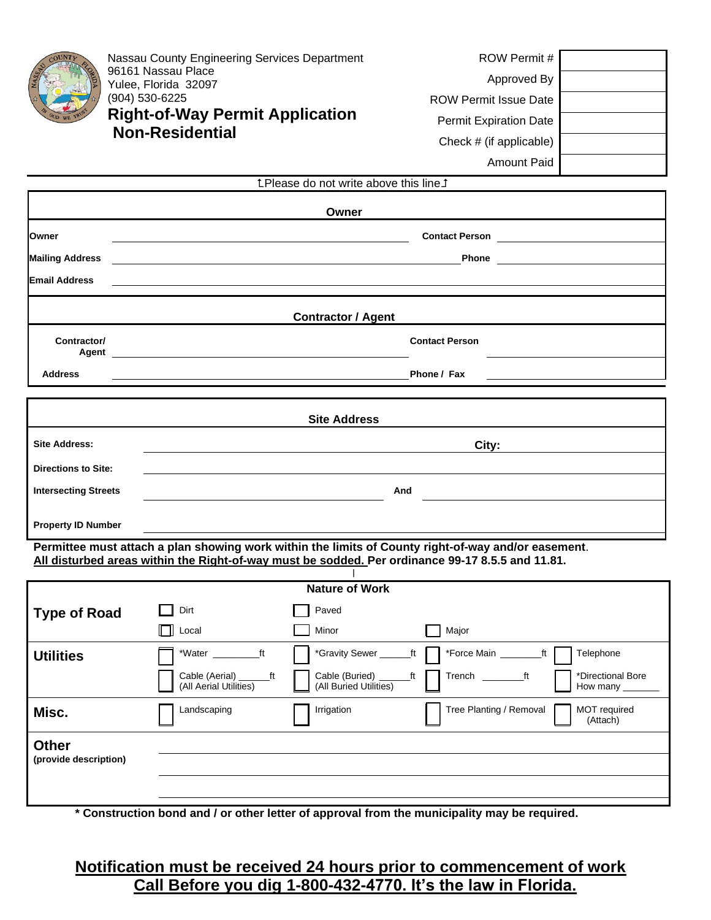|                                                                                                                                                                                                         | Nassau County Engineering Services Department<br>96161 Nassau Place<br>Yulee, Florida 32097<br>(904) 530-6225<br><b>Right-of-Way Permit Application</b><br><b>Non-Residential</b> | ROW Permit #<br>Approved By<br><b>ROW Permit Issue Date</b><br><b>Permit Expiration Date</b><br>Check # (if applicable)                                                                                                                                                                                                                                      |  |  |  |  |
|---------------------------------------------------------------------------------------------------------------------------------------------------------------------------------------------------------|-----------------------------------------------------------------------------------------------------------------------------------------------------------------------------------|--------------------------------------------------------------------------------------------------------------------------------------------------------------------------------------------------------------------------------------------------------------------------------------------------------------------------------------------------------------|--|--|--|--|
|                                                                                                                                                                                                         |                                                                                                                                                                                   | <b>Amount Paid</b>                                                                                                                                                                                                                                                                                                                                           |  |  |  |  |
| <b>LPlease do not write above this line 1</b>                                                                                                                                                           |                                                                                                                                                                                   |                                                                                                                                                                                                                                                                                                                                                              |  |  |  |  |
|                                                                                                                                                                                                         | Owner                                                                                                                                                                             |                                                                                                                                                                                                                                                                                                                                                              |  |  |  |  |
| Owner                                                                                                                                                                                                   | <u> 1989 - Johann Stein, marwolaethau a bhann an t-Amhainn an t-Amhainn an t-Amhainn an t-Amhainn an t-Amhainn an</u>                                                             |                                                                                                                                                                                                                                                                                                                                                              |  |  |  |  |
| <b>Mailing Address</b>                                                                                                                                                                                  |                                                                                                                                                                                   | <b>Phone Contract Contract Contract Contract Contract Contract Contract Contract Contract Contract Contract Contract Contract Contract Contract Contract Contract Contract Contract Contract Contract Contract Contract Contra</b><br><u> 1989 - Johann Barn, mars ann an t-Amhain ann an t-Amhain an t-Amhain an t-Amhain an t-Amhain an t-Amhain an t-</u> |  |  |  |  |
| <b>Email Address</b>                                                                                                                                                                                    |                                                                                                                                                                                   |                                                                                                                                                                                                                                                                                                                                                              |  |  |  |  |
| <b>Contractor / Agent</b>                                                                                                                                                                               |                                                                                                                                                                                   |                                                                                                                                                                                                                                                                                                                                                              |  |  |  |  |
| Contractor/<br>Agent                                                                                                                                                                                    |                                                                                                                                                                                   | <b>Contact Person</b>                                                                                                                                                                                                                                                                                                                                        |  |  |  |  |
| <b>Address</b>                                                                                                                                                                                          |                                                                                                                                                                                   | Phone / Fax                                                                                                                                                                                                                                                                                                                                                  |  |  |  |  |
| <b>Site Address</b>                                                                                                                                                                                     |                                                                                                                                                                                   |                                                                                                                                                                                                                                                                                                                                                              |  |  |  |  |
| <b>Site Address:</b>                                                                                                                                                                                    | City:                                                                                                                                                                             |                                                                                                                                                                                                                                                                                                                                                              |  |  |  |  |
| <b>Directions to Site:</b>                                                                                                                                                                              |                                                                                                                                                                                   |                                                                                                                                                                                                                                                                                                                                                              |  |  |  |  |
| <b>Intersecting Streets</b>                                                                                                                                                                             |                                                                                                                                                                                   | And                                                                                                                                                                                                                                                                                                                                                          |  |  |  |  |
| <b>Property ID Number</b>                                                                                                                                                                               |                                                                                                                                                                                   |                                                                                                                                                                                                                                                                                                                                                              |  |  |  |  |
| Permittee must attach a plan showing work within the limits of County right-of-way and/or easement.<br>All disturbed areas within the Right-of-way must be sodded. Per ordinance 99-17 8.5.5 and 11.81. |                                                                                                                                                                                   |                                                                                                                                                                                                                                                                                                                                                              |  |  |  |  |
| <b>Nillian Alberta Co.</b><br>$6.381 \pm .11$                                                                                                                                                           |                                                                                                                                                                                   |                                                                                                                                                                                                                                                                                                                                                              |  |  |  |  |

| <b>Nature of Work</b> |                                                |                                                |                                                     |  |
|-----------------------|------------------------------------------------|------------------------------------------------|-----------------------------------------------------|--|
| <b>Type of Road</b>   | Dirt                                           | Paved                                          |                                                     |  |
|                       | $\Box$ Local                                   | Minor                                          | Major                                               |  |
| <b>Utilities</b>      | *Water<br>ft                                   | *Gravity Sewer _____<br>_ft                    | *Force Main<br>Telephone<br>ft                      |  |
|                       | Cable (Aerial)<br>ft<br>(All Aerial Utilities) | Cable (Buried)<br>ft<br>(All Buried Utilities) | Trench<br>*Directional Bore<br>ft<br>How many       |  |
| Misc.                 | Landscaping                                    | Irrigation                                     | Tree Planting / Removal<br>MOT required<br>(Attach) |  |
| <b>Other</b>          |                                                |                                                |                                                     |  |
| (provide description) |                                                |                                                |                                                     |  |
|                       |                                                |                                                |                                                     |  |
|                       |                                                |                                                |                                                     |  |

**\* Construction bond and / or other letter of approval from the municipality may be required.**

**Notification must be received 24 hours prior to commencement of work Call Before you dig 1-800-432-4770. It's the law in Florida.**